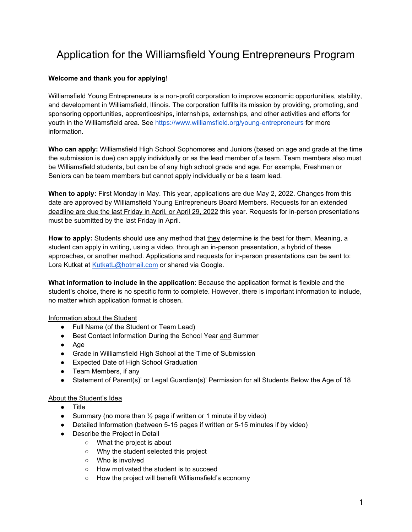# Application for the Williamsfield Young Entrepreneurs Program

## **Welcome and thank you for applying!**

Williamsfield Young Entrepreneurs is a non-profit corporation to improve economic opportunities, stability, and development in Williamsfield, Illinois. The corporation fulfills its mission by providing, promoting, and sponsoring opportunities, apprenticeships, internships, externships, and other activities and efforts for youth in the Williamsfield area. See<https://www.williamsfield.org/young-entrepreneurs> for more information.

**Who can apply:** Williamsfield High School Sophomores and Juniors (based on age and grade at the time the submission is due) can apply individually or as the lead member of a team. Team members also must be Williamsfield students, but can be of any high school grade and age. For example, Freshmen or Seniors can be team members but cannot apply individually or be a team lead.

**When to apply:** First Monday in May. This year, applications are due May 2, 2022. Changes from this date are approved by Williamsfield Young Entrepreneurs Board Members. Requests for an extended deadline are due the last Friday in April, or April 29, 2022 this year. Requests for in-person presentations must be submitted by the last Friday in April.

**How to apply:** Students should use any method that they determine is the best for them. Meaning, a student can apply in writing, using a video, through an in-person presentation, a hybrid of these approaches, or another method. Applications and requests for in-person presentations can be sent to: Lora Kutkat at [KutkatL@hotmail.com](mailto:KutkatL@hotmail.com) or shared via Google.

**What information to include in the application**: Because the application format is flexible and the student's choice, there is no specific form to complete. However, there is important information to include, no matter which application format is chosen.

#### Information about the Student

- Full Name (of the Student or Team Lead)
- Best Contact Information During the School Year and Summer
- Age
- Grade in Williamsfield High School at the Time of Submission
- Expected Date of High School Graduation
- Team Members, if any
- Statement of Parent(s)' or Legal Guardian(s)' Permission for all Students Below the Age of 18

#### About the Student's Idea

- Title
- Summary (no more than  $\frac{1}{2}$  page if written or 1 minute if by video)
- Detailed Information (between 5-15 pages if written or 5-15 minutes if by video)
- Describe the Project in Detail
	- What the project is about
	- Why the student selected this project
	- Who is involved
	- How motivated the student is to succeed
	- How the project will benefit Williamsfield's economy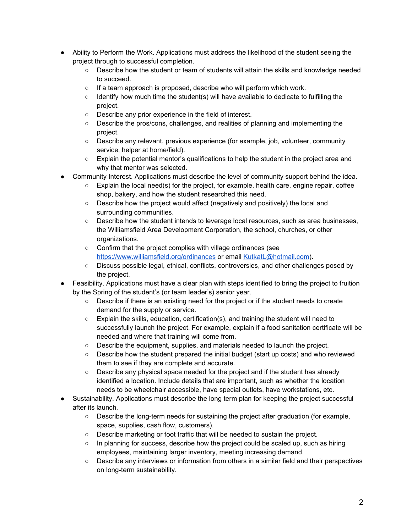- Ability to Perform the Work. Applications must address the likelihood of the student seeing the project through to successful completion.
	- Describe how the student or team of students will attain the skills and knowledge needed to succeed.
	- If a team approach is proposed, describe who will perform which work.
	- $\circ$  Identify how much time the student(s) will have available to dedicate to fulfilling the project.
	- Describe any prior experience in the field of interest.
	- Describe the pros/cons, challenges, and realities of planning and implementing the project.
	- Describe any relevant, previous experience (for example, job, volunteer, community service, helper at home/field).
	- Explain the potential mentor's qualifications to help the student in the project area and why that mentor was selected.
- Community Interest. Applications must describe the level of community support behind the idea.
	- $\circ$  Explain the local need(s) for the project, for example, health care, engine repair, coffee shop, bakery, and how the student researched this need.
	- Describe how the project would affect (negatively and positively) the local and surrounding communities.
	- Describe how the student intends to leverage local resources, such as area businesses, the Williamsfield Area Development Corporation, the school, churches, or other organizations.
	- Confirm that the project complies with village ordinances (see <https://www.williamsfield.org/ordinances> or email [KutkatL@hotmail.com\)](mailto:KutkatL@hotmail.com).
	- Discuss possible legal, ethical, conflicts, controversies, and other challenges posed by the project.
- Feasibility. Applications must have a clear plan with steps identified to bring the project to fruition by the Spring of the student's (or team leader's) senior year.
	- Describe if there is an existing need for the project or if the student needs to create demand for the supply or service.
	- $\circ$  Explain the skills, education, certification(s), and training the student will need to successfully launch the project. For example, explain if a food sanitation certificate will be needed and where that training will come from.
	- Describe the equipment, supplies, and materials needed to launch the project.
	- Describe how the student prepared the initial budget (start up costs) and who reviewed them to see if they are complete and accurate.
	- Describe any physical space needed for the project and if the student has already identified a location. Include details that are important, such as whether the location needs to be wheelchair accessible, have special outlets, have workstations, etc.
- Sustainability. Applications must describe the long term plan for keeping the project successful after its launch.
	- $\circ$  Describe the long-term needs for sustaining the project after graduation (for example, space, supplies, cash flow, customers).
	- Describe marketing or foot traffic that will be needed to sustain the project.
	- In planning for success, describe how the project could be scaled up, such as hiring employees, maintaining larger inventory, meeting increasing demand.
	- Describe any interviews or information from others in a similar field and their perspectives on long-term sustainability.